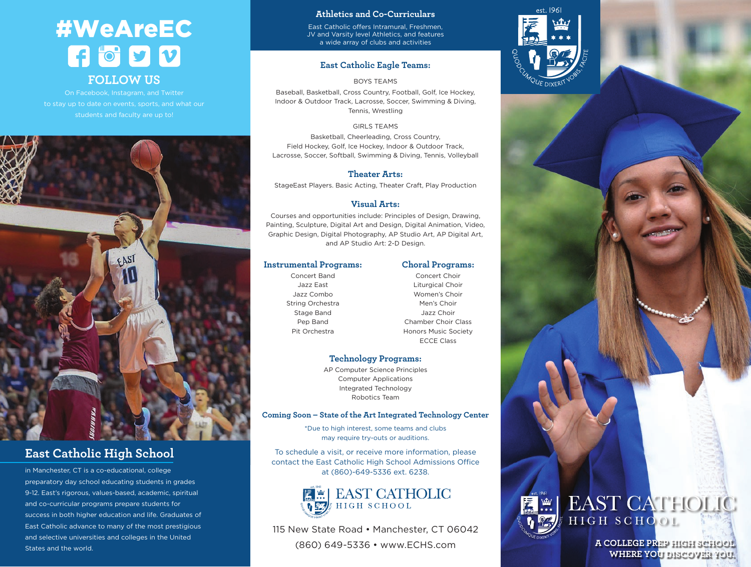## #WeAreEC  $\mathbf{G}$  of  $\mathbf{y}$ **FOLLOW US**

On Facebook, Instagram, and Twitter to stay up to date on events, sports, and what our students and faculty are up to!



### **East Catholic High School**

in Manchester, CT is a co-educational, college preparatory day school educating students in grades 9-12. East's rigorous, values-based, academic, spiritual and co-curricular programs prepare students for success in both higher education and life. Graduates of East Catholic advance to many of the most prestigious and selective universities and colleges in the United States and the world.

#### **Athletics and Co-Curriculars**

East Catholic offers Intramural, Freshmen, JV and Varsity level Athletics, and features a wide array of clubs and activities

#### **East Catholic Eagle Teams:**

#### BOYS TEAMS

Baseball, Basketball, Cross Country, Football, Golf, Ice Hockey, Indoor & Outdoor Track, Lacrosse, Soccer, Swimming & Diving, Tennis, Wrestling

#### GIRLS TEAMS

Basketball, Cheerleading, Cross Country, Field Hockey, Golf, Ice Hockey, Indoor & Outdoor Track, Lacrosse, Soccer, Softball, Swimming & Diving, Tennis, Volleyball

#### **Theater Arts:**

StageEast Players. Basic Acting, Theater Craft, Play Production

#### **Visual Arts:**

Courses and opportunities include: Principles of Design, Drawing, Painting, Sculpture, Digital Art and Design, Digital Animation, Video, Graphic Design, Digital Photography, AP Studio Art, AP Digital Art, and AP Studio Art: 2-D Design.

#### **Instrumental Programs:**

Concert Band Jazz East Jazz Combo String Orchestra Stage Band Pep Band Pit Orchestra

Concert Choir Liturgical Choir Women's Choir Men's Choir Jazz Choir Chamber Choir Class Honors Music Society ECCE Class

**Choral Programs:**

#### **Technology Programs:**

AP Computer Science Principles Computer Applications Integrated Technology Robotics Team

#### **Coming Soon – State of the Art Integrated Technology Center**

\*Due to high interest, some teams and clubs may require try-outs or auditions.

To schedule a visit, or receive more information, please contact the East Catholic High School Admissions Office at (860)-649-5336 ext. 6238.



115 New State Road • Manchester, CT 06042 (860) 649-5336 • www.ECHS.com





**A COLLEGE PREP HIGH SCHOOL WHERE YOU DISCOVER YOU.**